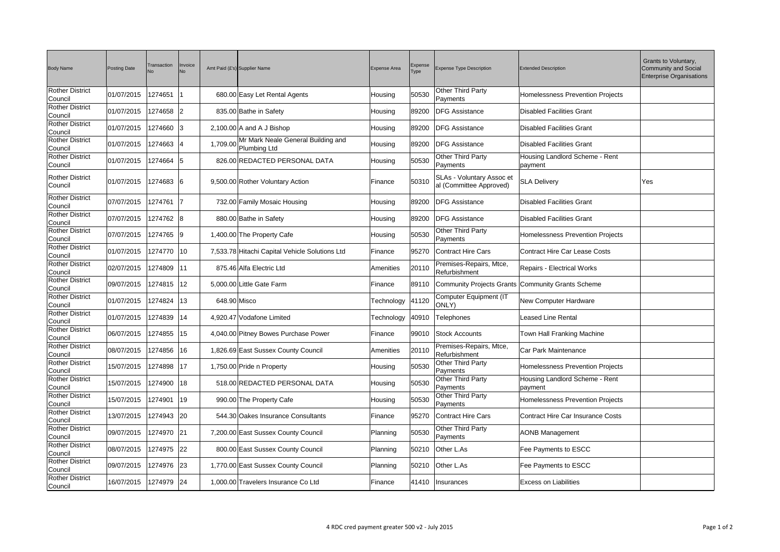| <b>Body Name</b>                         | <b>Posting Date</b>       | Transaction  | Invoice<br>No. |              | Amt Paid (£'s) Supplier Name                       | <b>Expense Area</b> | <b>Expense</b><br>Type | Expense Type Description                                    | <b>Extended Description</b>                       | Grants to Voluntary,<br><b>Community and Social</b><br><b>Enterprise Organisations</b> |
|------------------------------------------|---------------------------|--------------|----------------|--------------|----------------------------------------------------|---------------------|------------------------|-------------------------------------------------------------|---------------------------------------------------|----------------------------------------------------------------------------------------|
| <b>Rother District</b><br>Council        | 01/07/2015                | 1274651      |                |              | 680.00 Easy Let Rental Agents                      | Housing             | 50530                  | <b>Other Third Party</b><br>Payments                        | <b>Homelessness Prevention Projects</b>           |                                                                                        |
| <b>Rother District</b><br>Council        | 01/07/2015                | 1274658 2    |                |              | 835.00 Bathe in Safety                             | Housing             | 89200                  | <b>DFG Assistance</b>                                       | <b>Disabled Facilities Grant</b>                  |                                                                                        |
| <b>Rother District</b><br>Council        | 01/07/2015                | 1274660 3    |                |              | $2,100.00$ A and A J Bishop                        | Housing             | 89200                  | <b>DFG Assistance</b>                                       | <b>Disabled Facilities Grant</b>                  |                                                                                        |
| <b>Rother District</b><br>Council        | 01/07/2015                | 1274663  4   |                | 1,709.00     | Mr Mark Neale General Building and<br>Plumbing Ltd | Housing             | 89200                  | <b>DFG Assistance</b>                                       | <b>Disabled Facilities Grant</b>                  |                                                                                        |
| <b>Rother District</b><br>Council        | 01/07/2015                | 1274664 5    |                |              | 826.00 REDACTED PERSONAL DATA                      | Housing             | 50530                  | <b>Other Third Party</b><br>Payments                        | Housing Landlord Scheme - Rent<br>payment         |                                                                                        |
| <b>Rother District</b><br>Council        | 01/07/2015                | 1274683 6    |                |              | 9,500.00 Rother Voluntary Action                   | Finance             | 50310                  | <b>SLAs - Voluntary Assoc et</b><br>al (Committee Approved) | <b>SLA Delivery</b>                               | Yes                                                                                    |
| <b>Rother District</b><br>Council        | 07/07/2015                | 1274761      | 17             |              | 732.00 Family Mosaic Housing                       | Housing             | 89200                  | <b>DFG Assistance</b>                                       | <b>Disabled Facilities Grant</b>                  |                                                                                        |
| <b>Rother District</b><br>Council        | 07/07/2015                | 1274762 8    |                |              | 880.00 Bathe in Safety                             | Housing             | 89200                  | <b>DFG Assistance</b>                                       | <b>Disabled Facilities Grant</b>                  |                                                                                        |
| <b>Rother District</b><br>Council        | 07/07/2015                | 1274765 9    |                |              | 1,400.00 The Property Cafe                         | Housing             | 50530                  | <b>Other Third Party</b><br>Payments                        | Homelessness Prevention Projects                  |                                                                                        |
| <b>Rother District</b><br>Council        | 01/07/2015                | 1274770      | $ 10\rangle$   |              | 7,533.78 Hitachi Capital Vehicle Solutions Ltd     | Finance             | 95270                  | Contract Hire Cars                                          | <b>Contract Hire Car Lease Costs</b>              |                                                                                        |
| <b>Rother District</b><br>Council        | 02/07/2015                | 1274809      | 11             |              | 875.46 Alfa Electric Ltd                           | Amenities           | 20110                  | Premises-Repairs, Mtce,<br>Refurbishment                    | <b>Repairs - Electrical Works</b>                 |                                                                                        |
| <b>Rother District</b><br><b>Council</b> | 09/07/2015                | 1274815      | $ 12\rangle$   |              | 5,000.00 Little Gate Farm                          | Finance             | 89110                  |                                                             | Community Projects Grants Community Grants Scheme |                                                                                        |
| <b>Rother District</b><br>Council        | 01/07/2015                | 1274824      | $ 13\rangle$   | 648.90 Misco |                                                    | Technology          | 41120                  | Computer Equipment (IT<br>ONLY)                             | New Computer Hardware                             |                                                                                        |
| <b>Rother District</b><br>Council        | 01/07/2015   1274839   14 |              |                |              | 4,920.47 Vodafone Limited                          |                     |                        | Technology 40910 Telephones                                 | Leased Line Rental                                |                                                                                        |
| <b>Rother District</b><br>Council        | 06/07/2015                | 1274855 15   |                |              | 4,040.00 Pitney Bowes Purchase Power               | Finance             |                        | 99010 Stock Accounts                                        | Town Hall Franking Machine                        |                                                                                        |
| <b>Rother District</b><br>Council        | 08/07/2015                | 1274856   16 |                |              | 1,826.69 East Sussex County Council                | Amenities           | 20110                  | Premises-Repairs, Mtce,<br>Refurbishment                    | Car Park Maintenance                              |                                                                                        |
| <b>Rother District</b><br>Council        | 15/07/2015                | 1274898 17   |                |              | 1,750.00 Pride n Property                          | Housing             | 50530                  | <b>Other Third Party</b><br>Payments                        | Homelessness Prevention Projects                  |                                                                                        |
| <b>Rother District</b><br>Council        | 15/07/2015                | 1274900 18   |                |              | 518.00 REDACTED PERSONAL DATA                      | Housing             | 50530                  | <b>Other Third Party</b><br>Payments                        | Housing Landlord Scheme - Rent<br>payment         |                                                                                        |
| <b>Rother District</b><br>Council        | 15/07/2015                | 1274901      | 19             |              | 990.00 The Property Cafe                           | Housing             | 50530                  | <b>Other Third Party</b><br>Payments                        | <b>Homelessness Prevention Projects</b>           |                                                                                        |
| <b>Rother District</b><br>Council        | 13/07/2015                | 1274943 20   |                |              | 544.30 Oakes Insurance Consultants                 | Finance             | 95270                  | Contract Hire Cars                                          | Contract Hire Car Insurance Costs                 |                                                                                        |
| <b>Rother District</b><br>Council        | 09/07/2015                | 1274970 21   |                |              | 7,200.00 East Sussex County Council                | Planning            | 50530                  | <b>Other Third Party</b><br>Payments                        | <b>AONB Management</b>                            |                                                                                        |
| <b>Rother District</b><br>Council        | 08/07/2015                | 1274975 22   |                |              | 800.00 East Sussex County Council                  | Planning            | 50210                  | Other L.As                                                  | Fee Payments to ESCC                              |                                                                                        |
| <b>Rother District</b><br>Council        | 09/07/2015                | 1274976 23   |                |              | 1,770.00 East Sussex County Council                | Planning            |                        | 50210 Other L.As                                            | Fee Payments to ESCC                              |                                                                                        |
| <b>Rother District</b><br>Council        | 16/07/2015                | 1274979 24   |                |              | 1,000.00 Travelers Insurance Co Ltd                | Finance             | 41410                  | Insurances                                                  | <b>Excess on Liabilities</b>                      |                                                                                        |